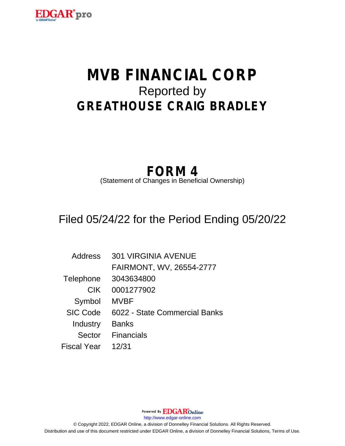

# **MVB FINANCIAL CORP** Reported by **GREATHOUSE CRAIG BRADLEY**

## **FORM 4**

(Statement of Changes in Beneficial Ownership)

### Filed 05/24/22 for the Period Ending 05/20/22

| Address            | <b>301 VIRGINIA AVENUE</b>    |
|--------------------|-------------------------------|
|                    | FAIRMONT, WV, 26554-2777      |
| Telephone          | 3043634800                    |
| <b>CIK</b>         | 0001277902                    |
| Symbol             | <b>MVBF</b>                   |
| <b>SIC Code</b>    | 6022 - State Commercial Banks |
| Industry           | <b>Banks</b>                  |
| Sector             | <b>Financials</b>             |
| <b>Fiscal Year</b> | 12/31                         |

Powered By **EDGAR**Online http://www.edgar-online.com © Copyright 2022, EDGAR Online, a division of Donnelley Financial Solutions. All Rights Reserved. Distribution and use of this document restricted under EDGAR Online, a division of Donnelley Financial Solutions, Terms of Use.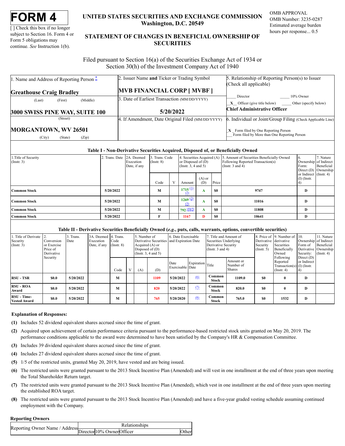| <b>FORM</b> |
|-------------|
|-------------|

[] Check this box if no longer subject to Section 16. Form 4 or Form 5 obligations may continue. See Instruction 1(b).

#### UNITED STATES SECURITIES AND EXCHANGE COMMISSION Washington, D.C. 20549

**OMB APPROVAL** OMB Number: 3235-0287 Estimated average burden hours per response... 0.5

#### STATEMENT OF CHANGES IN BENEFICIAL OWNERSHIP OF **SECURITIES**

Filed pursuant to Section 16(a) of the Securities Exchange Act of 1934 or Section 30(h) of the Investment Company Act of 1940

| 1. Name and Address of Reporting Person $*$        | 2. Issuer Name and Ticker or Trading Symbol       | 5. Relationship of Reporting Person(s) to Issuer                                     |  |  |  |
|----------------------------------------------------|---------------------------------------------------|--------------------------------------------------------------------------------------|--|--|--|
|                                                    |                                                   | (Check all applicable)                                                               |  |  |  |
| <b>Greathouse Craig Bradley</b>                    | <b>MVB FINANCIAL CORP [ MVBF ]</b>                |                                                                                      |  |  |  |
| (First)<br>(Middle)<br>(Last)                      | 3. Date of Earliest Transaction (MM/DD/YYYY)      | 10% Owner<br>Director                                                                |  |  |  |
|                                                    |                                                   | $\mathbf{X}$ Officer (give title below) $\qquad \qquad$ Other (specify below)        |  |  |  |
| 3000 SWISS PINE WAY, SUITE 100                     | 5/20/2022                                         | <b>Chief Administrative Officer</b>                                                  |  |  |  |
| (Street)                                           | 4. If Amendment, Date Original Filed (MM/DD/YYYY) | 6. Individual or Joint/Group Filing (Check Applicable Line)                          |  |  |  |
| MORGANTOWN, WV 26501<br>(City)<br>(Zip)<br>(State) |                                                   | X Form filed by One Reporting Person<br>Form filed by More than One Reporting Person |  |  |  |

#### Table I - Non-Derivative Securities Acquired, Disposed of, or Beneficially Owned

| 1. Title of Security<br>$($ Instr. 3) | 2. Trans. Date 2A. Deemed | Execution<br>Date, if any | 3. Trans. Code<br>$($ Instr. $8)$ | or Disposed of $(D)$<br>(Instr. $3, 4$ and $5$ ) |                 |           | 4. Securities Acquired (A) 5. Amount of Securities Beneficially Owned<br>Following Reported Transaction(s)<br>(Instr. $3$ and $4$ ) | Ib.<br>Ownership of Indirect<br>Form:                           | 7. Nature<br>Beneficial |
|---------------------------------------|---------------------------|---------------------------|-----------------------------------|--------------------------------------------------|-----------------|-----------|-------------------------------------------------------------------------------------------------------------------------------------|-----------------------------------------------------------------|-------------------------|
|                                       |                           |                           | Code                              | Amount                                           | $(A)$ or<br>(D) | Price     |                                                                                                                                     | Direct (D) Ownership<br>or Indirect (Instr. 4)<br>$(I)$ (Instr. |                         |
| <b>Common Stock</b>                   | 5/20/2022                 |                           | M                                 | $1715$ <sup>(1)</sup><br>(2)                     | A               | -SO       | 9747                                                                                                                                | D                                                               |                         |
| <b>Common Stock</b>                   | 5/20/2022                 |                           | M                                 | $1269$ <sup>(2)</sup><br>(3)                     | A               | <b>SO</b> | 11016                                                                                                                               | D                                                               |                         |
| <b>Common Stock</b>                   | 5/20/2022                 |                           | M                                 | $792 \frac{(4)(5)}{2}$                           | A               | - \$0     | 11808                                                                                                                               | D                                                               |                         |
| <b>Common Stock</b>                   | 5/20/2022                 |                           | F                                 | 1167                                             | D               | <b>SO</b> | 10641                                                                                                                               | D                                                               |                         |

#### Table II - Derivative Securities Beneficially Owned (e.g., puts, calls, warrants, options, convertible securities)

| 1. Title of Derivate<br>Security<br>Conversion<br>$($ Instr. 3)<br>or Exercise<br>Price of<br>Derivative |             | 3. Trans.<br>Date | 3A. Deemed 4. Trans.<br>Execution<br>Date, if any | Code<br>$($ Instr. $8)$ |  | 5. Number of<br>Derivative Securities and Expiration Date<br>Acquired $(A)$ or<br>Disposed of $(D)$<br>(Insert. 3, 4 and 5) |      | 6. Date Exercisable      |                  | 7. Title and Amount of<br>Securities Underlying<br>Derivative Security<br>(Instr. $3$ and $4$ ) |                                         | Derivative derivative<br>Security<br>$($ Instr. 5 $)$ | 8. Price of 19. Number of 10.<br>Securities<br>Beneficially<br>Owned      | Ownership of Indirect<br>Form of<br>Security: | 11. Nature<br>Beneficial<br>Derivative Ownership<br>$($ Instr. 4 $)$ |
|----------------------------------------------------------------------------------------------------------|-------------|-------------------|---------------------------------------------------|-------------------------|--|-----------------------------------------------------------------------------------------------------------------------------|------|--------------------------|------------------|-------------------------------------------------------------------------------------------------|-----------------------------------------|-------------------------------------------------------|---------------------------------------------------------------------------|-----------------------------------------------|----------------------------------------------------------------------|
|                                                                                                          | Security    |                   |                                                   | Code                    |  | (A)                                                                                                                         | (D)  | Date<br>Exercisable Date | Expiration Title |                                                                                                 | Amount or<br>Number of<br><b>Shares</b> |                                                       | Following<br>Reported<br>Transaction(s) $(I)$ (Instr.<br>$($ Instr. 4 $)$ | Direct (D)<br>or Indirect                     |                                                                      |
| <b>RSU - TSR</b>                                                                                         | \$0.0       | 5/20/2022         |                                                   | M                       |  |                                                                                                                             | 1109 | 5/20/2022                | (6)              | Common<br><b>Stock</b>                                                                          | 1109.0                                  | \$0                                                   | $\mathbf{0}$                                                              | D                                             |                                                                      |
| <b>RSU - ROA</b><br>Award                                                                                | \$0.0       | 5/20/2022         |                                                   | M                       |  |                                                                                                                             | 820  | 5/20/2022                | (2)              | Common<br>Stock                                                                                 | 820.0                                   | \$0                                                   | 0                                                                         | D                                             |                                                                      |
| RSU - Time-<br><b>Vested Award</b>                                                                       | <b>SO.O</b> | 5/20/2022         |                                                   | M                       |  |                                                                                                                             | 765  | 5/20/2020                | (8)              | Common<br><b>Stock</b>                                                                          | 765.0                                   | \$0                                                   | 1532                                                                      | D                                             |                                                                      |

#### **Explanation of Responses:**

- (1) Includes 52 dividend equivalent shares accrued since the time of grant.
- (2) Acquired upon achievement of certain performance criteria pursuant to the performance-based restricted stock units granted on May 20, 2019. The performance conditions applicable to the award were determined to have been satisfied by the Company's HR & Compensation Committee.
- (3) Includes 39 dividend equivalent shares accrued since the time of grant.
- (4) Includes 27 dividend equivalent shares accrued since the time of grant.
- (5) 1/5 of the restricted units, granted May 20, 2019, have vested and are being issued.
- (6) The restricted units were granted pursuant to the 2013 Stock Incentive Plan (Amended) and will vest in one installment at the end of three years upon meeting the Total Shareholder Return target.
- (7) The restricted units were granted pursuant to the 2013 Stock Incentive Plan (Amended), which vest in one installment at the end of three years upon meeting the established ROA target.
- (8) The restricted units were granted pursuant to the 2013 Stock Incentive Plan (Amended) and have a five-year graded vesting schedule assuming continued employment with the Company.

#### **Reporting Owners**

| exeporting Owner Name / Address Director 10% Owner Officer | Relationships |  |       |  |  |  |
|------------------------------------------------------------|---------------|--|-------|--|--|--|
|                                                            |               |  | Other |  |  |  |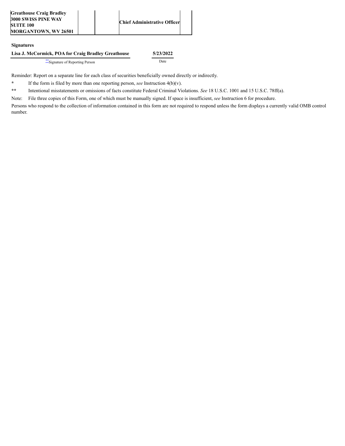#### **Signatures**

#### **Lisa J. McCormick, POA for Craig Bradley Greathouse 5/23/2022**

[\\*\\*](#page-2-1)Signature of Reporting Person Date

Reminder: Report on a separate line for each class of securities beneficially owned directly or indirectly.

<span id="page-2-0"></span>**\*** If the form is filed by more than one reporting person, *see* Instruction 4(b)(v).

<span id="page-2-1"></span>**\*\*** Intentional misstatements or omissions of facts constitute Federal Criminal Violations. *See* 18 U.S.C. 1001 and 15 U.S.C. 78ff(a).

Note: File three copies of this Form, one of which must be manually signed. If space is insufficient, *see* Instruction 6 for procedure.

Persons who respond to the collection of information contained in this form are not required to respond unless the form displays a currently valid OMB control number.